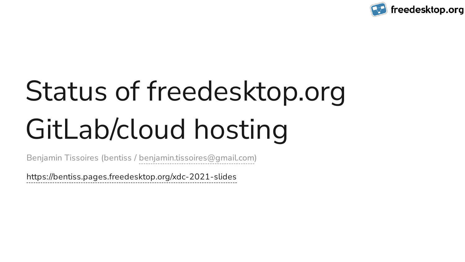# Status of freedesktop.org GitLab/cloud hosting

<https://bentiss.pages.freedesktop.org/xdc-2021-slides>



Benjamin Tissoires (bentiss / [benjamin.tissoires@gmail.com\)](mailto:benjamin.tissoires@gmail.com)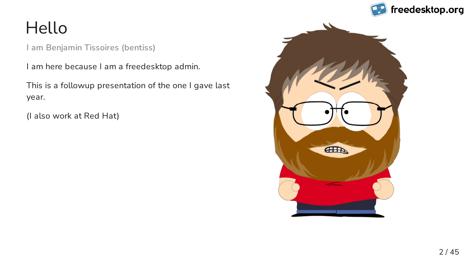### Hello

I am here because I am a freedesktop admin.

This is a followup presentation of the one I gave last year.

(I also work at Red Hat)



2 / 45

**I am Benjamin Tissoires (bentiss)**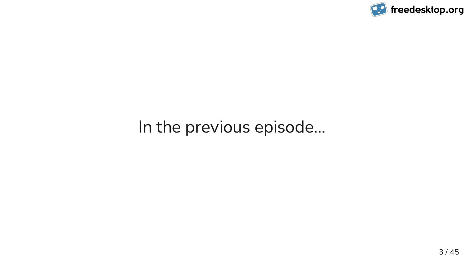### In the previous episode…

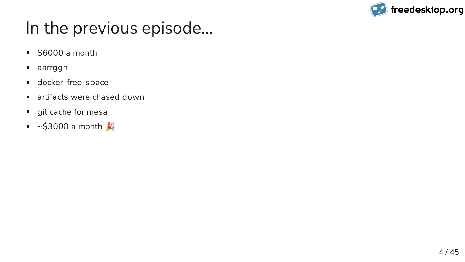### In the previous episode…

- $\overline{\phantom{0}}$  \$6000 a month
- aarrggh
- **docker-free-space**
- artifacts were chased down  $\blacksquare$
- git cache for mesa
- $\sim$ \$3000 a month

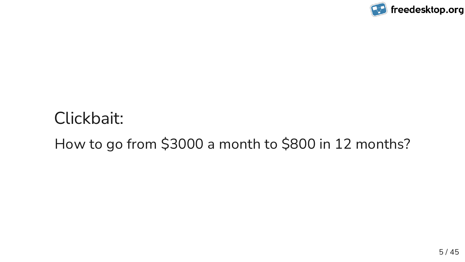# Clickbait: How to go from \$3000 a month to \$800 in 12 months?

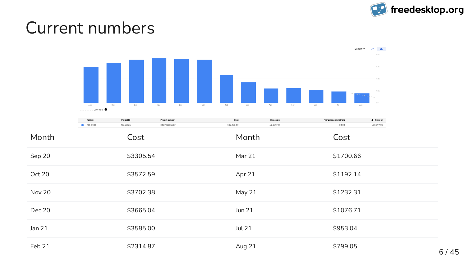### Current numbers





| <b>Promotions and others</b> | $\downarrow$ Subtotal |
|------------------------------|-----------------------|
| \$0.00                       | \$30,097.09           |

| \$1700.66 |
|-----------|
| \$1192.14 |
| \$1232.31 |
| \$1076.71 |
| \$953.04  |
| \$799.05  |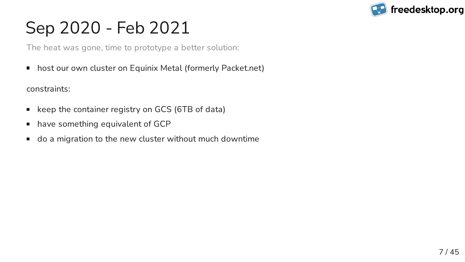# Sep 2020 - Feb 2021

host our own cluster on Equinix Metal (formerly Packet.net)  $\Box$ 

- keep the container registry on GCS (6TB of data)  $\blacksquare$
- have something equivalent of GCP
- do a migration to the new cluster without much downtime  $\Box$



constraints:

#### 7 / 45

The heat was gone, time to prototype a better solution: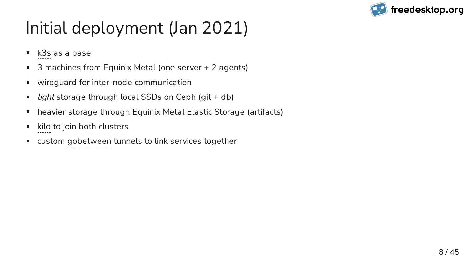# Initial deployment (Jan 2021)

- [k3s](https://k3s.io/) as a base
- 3 machines from Equinix Metal (one server + 2 agents)  $\overline{\phantom{a}}$
- wireguard for inter-node communication
- light storage through local SSDs on Ceph (git + db)  $\blacksquare$
- **heavier** storage through Equinix Metal Elastic Storage (artifacts)  $\overline{\phantom{a}}$
- [kilo](https://github.com/squat/kilo) to join both clusters
- custom [gobetween](http://gobetween.io/) tunnels to link services together  $\Box$

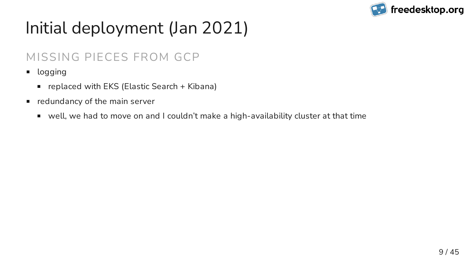# Initial deployment (Jan 2021)

- logging  $\Box$ 
	- replaced with EKS (Elastic Search + Kibana)
- redundancy of the main server
	- well, we had to move on and I couldn't make a high-availability cluster at that time



#### MISSING PIECES FROM GCP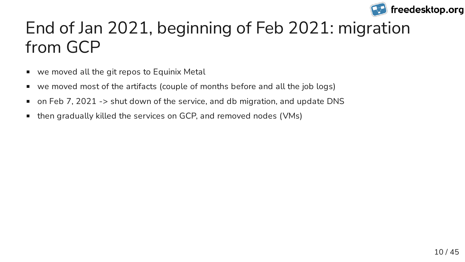## End of Jan 2021, beginning of Feb 2021: migration from GCP

- we moved all the git repos to Equinix Metal
- we moved most of the artifacts (couple of months before and all the job logs)
- on Feb 7, 2021 -> shut down of the service, and db migration, and update DNS  $\Box$
- then gradually killed the services on GCP, and removed nodes (VMs)  $\overline{\phantom{a}}$

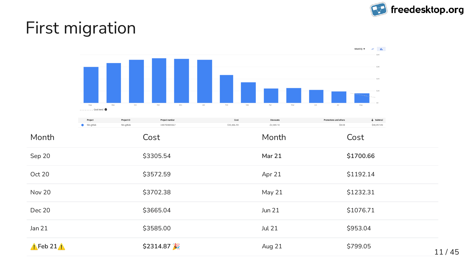### First migration





| <b>Promotions and others</b> | $\downarrow$ Subtotal |
|------------------------------|-----------------------|
| \$0.00                       | \$30,097.09           |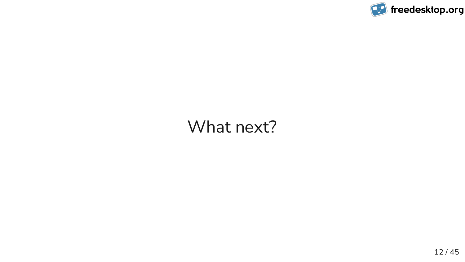#### What next?

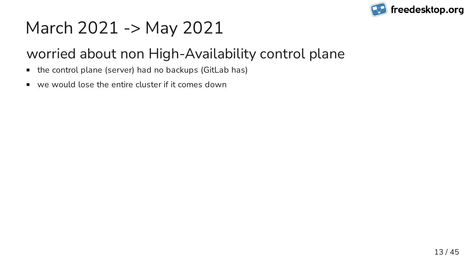# March 2021 -> May 2021

- the control plane (server) had no backups (GitLab has)  $\blacksquare$
- we would lose the entire cluster if it comes down  $\Box$



### worried about non High-Availability control plane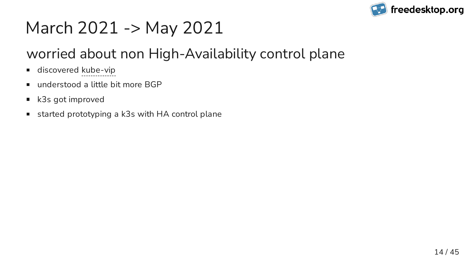# March 2021 -> May 2021

- discovered [kube-vip](https://kube-vip.io/)  $\Box$
- understood a little bit more BGP
- k3s got improved  $\overline{\phantom{a}}$
- started prototyping a k3s with HA control plane  $\blacksquare$



### worried about non High-Availability control plane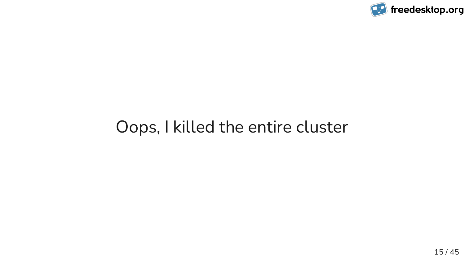### Oops, I killed the entire cluster

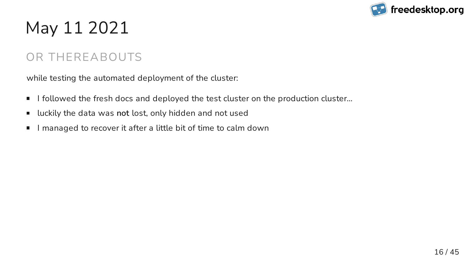# May 11 2021

- I followed the fresh docs and deployed the test cluster on the production cluster…  $\blacksquare$
- luckily the data was **not** lost, only hidden and not used  $\overline{\phantom{a}}$
- managed to recover it after a little bit of time to calm down



while testing the automated deployment of the cluster:

#### 16 / 45

#### OR THEREABOUTS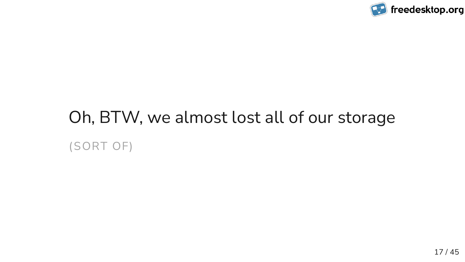# Oh, BTW, we almost lost all of our storage (SORT OF)

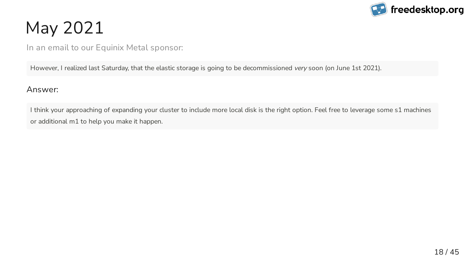# May 2021

Answer:

I think your approaching of expanding your cluster to include more local disk is the right option. Feel free to leverage some s1 machines or additional m1 to help you make it happen.



18 / 45

In an email to our Equinix Metal sponsor:

However, I realized last Saturday, that the elastic storage is going to be decommissioned very soon (on June 1st 2021).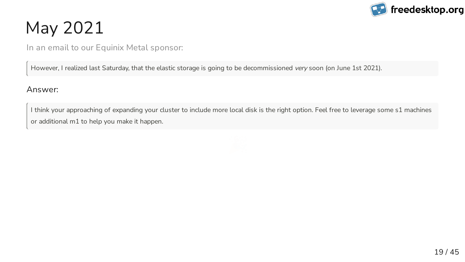# May 2021

Answer:

I think your approaching of expanding your cluster to include more local disk is the right option. Feel free to leverage some s1 machines or additional m1 to help you make it happen.



19 / 45

In an email to our Equinix Metal sponsor:

However, I realized last Saturday, that the elastic storage is going to be decommissioned very soon (on June 1st 2021).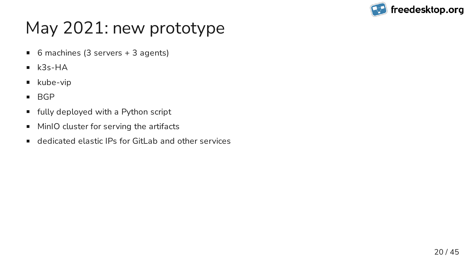# May 2021: new prototype

- 6 machines (3 servers + 3 agents)  $\blacksquare$
- k3s-HA  $\blacksquare$
- kube-vip
- BGP
- fully deployed with a Python script
- MinIO cluster for serving the artifacts  $\mathcal{L}_{\mathcal{A}}$
- dedicated elastic IPs for GitLab and other services

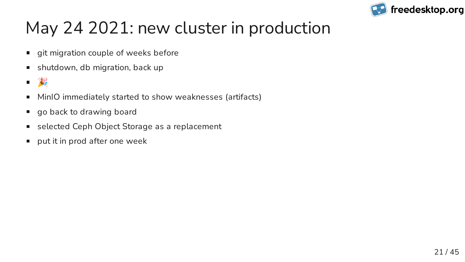# May 24 2021: new cluster in production

- git migration couple of weeks before
- shutdown, db migration, back up  $\mathcal{L}_{\mathcal{A}}$
- $\blacksquare$
- MinIO immediately started to show weaknesses (artifacts)  $\mathcal{L}_{\mathcal{A}}$
- go back to drawing board
- selected Ceph Object Storage as a replacement  $\mathcal{L}_{\mathcal{A}}$
- put it in prod after one week

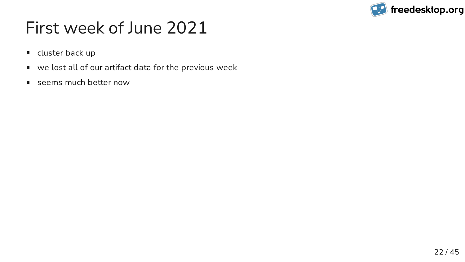### First week of June 2021

- **Exercise** cluster back up
- we lost all of our artifact data for the previous week
- seems much better now

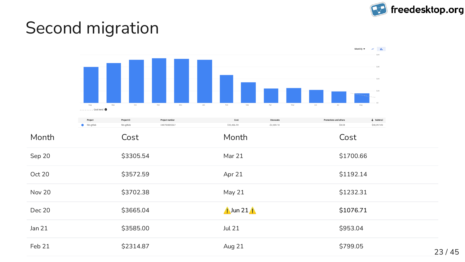### Second migration





| <b>Promotions and others</b> | $\downarrow$ Subtotal |
|------------------------------|-----------------------|
| \$0.00                       | \$30,097.09           |

| \$1700.66 |
|-----------|
| \$1192.14 |
| \$1232.31 |
| \$1076.71 |
| \$953.04  |
| \$799.05  |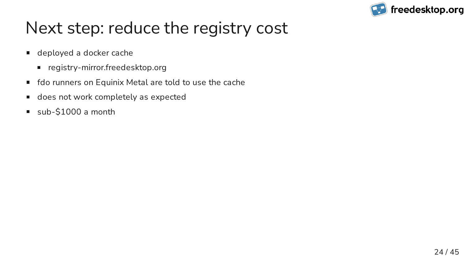### Next step: reduce the registry cost

- **deployed a docker cache** 
	- registry-mirror.freedesktop.org
- fdo runners on Equinix Metal are told to use the cache
- does not work completely as expected  $\overline{\phantom{a}}$
- sub-\$1000 a month

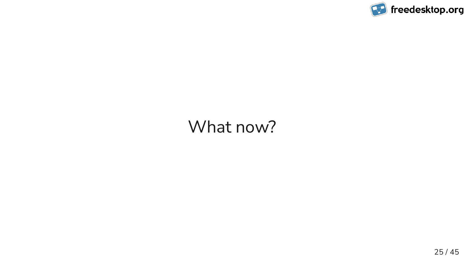### What now?

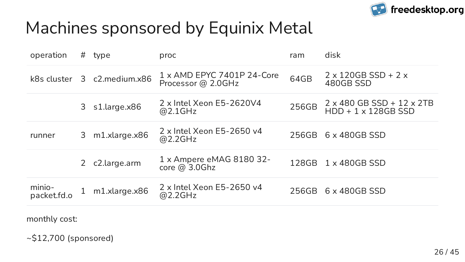### Machines sponsored by Equinix Metal

| operation             | #            | type            | proc                                                    | ram   | disk                                                                  |
|-----------------------|--------------|-----------------|---------------------------------------------------------|-------|-----------------------------------------------------------------------|
| k8s cluster           |              | 3 c2.medium.x86 | $1 \times$ AMD EPYC 7401P 24-Core<br>Processor @ 2.0GHz | 64GB  | $2 \times 120GB$ SSD + 2 $\times$<br>480GB SSD                        |
|                       | 3            | s1.large.x86    | 2 x Intel Xeon E5-2620V4<br>@2.1GHz                     | 256GB | $2 \times 480$ GB SSD + $12 \times 2TB$<br>$HDD + 1 \times 128GB$ SSD |
| runner                | 3            | m1.xlarge.x86   | $2 \times$ Intel Xeon E5-2650 v4<br>@2.2GHz             | 256GB | $6 \times 480GB$ SSD                                                  |
|                       |              | c2.large.arm    | $1 \times$ Ampere eMAG 8180 32-<br>core $@3.0Ghz$       | 128GB | $1 \times 480$ GBSSD                                                  |
| minio-<br>packet.fd.o | $\mathbf{1}$ | m1.xlarge.x86   | $2 \times$ Intel Xeon E5-2650 v4<br>@2.2GHz             | 256GB | $6 \times 480GB$ SSD                                                  |

monthly cost:

~\$12,700 (sponsored)

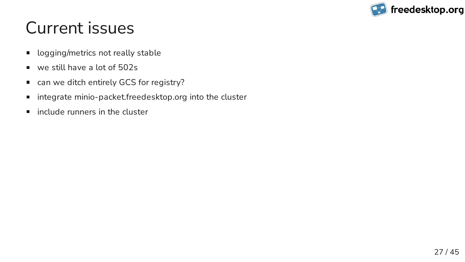### Current issues

- logging/metrics not really stable  $\blacksquare$
- we still have a lot of 502s
- can we ditch entirely GCS for registry?
- integrate minio-packet.freedesktop.org into the cluster
- include runners in the cluster  $\blacksquare$

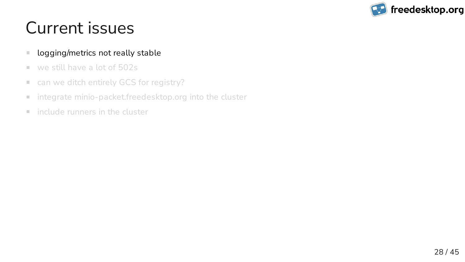### Current issues

- logging/metrics not really stable  $\blacksquare$
- we still have a lot of 502s  $\mathbb{R}^n$
- can we ditch entirely GCS for registry?  $\mathbb{Z}^2$
- integrate minio-packet.freedesktop.org into the cluster  $\mathbb{Z}^2$
- include runners in the cluster  $\mathbb{R}^n$

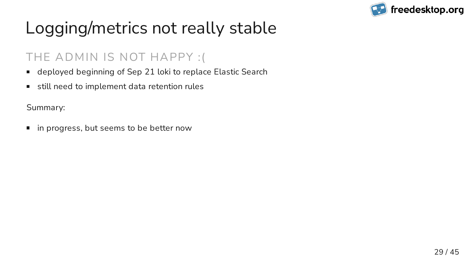## Logging/metrics not really stable

- deployed beginning of Sep 21 loki to replace Elastic Search  $\blacksquare$
- still need to implement data retention rules

Summary:

■ in progress, but seems to be better now



#### 29 / 45

#### THE ADMIN IS NOT HAPPY :(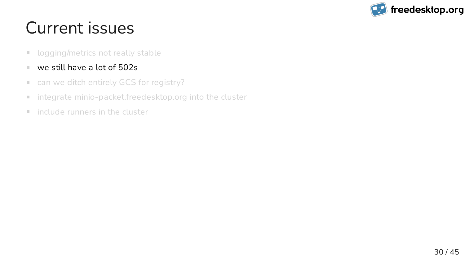## Current issues

- logging/metrics not really stable  $\Box$
- we still have a lot of 502s  $\mathcal{L}_{\mathcal{A}}$
- can we ditch entirely GCS for registry?  $\mathcal{L}_{\mathcal{A}}$
- integrate minio-packet.freedesktop.org into the cluster  $\mathbb{Z}^2$
- include runners in the cluster  $\mathbb{R}^n$

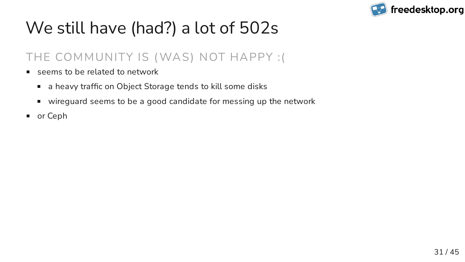# We still have (had?) a lot of 502s

- seems to be related to network  $\mathcal{L}_{\mathcal{A}}$ 
	- a heavy traffic on Object Storage tends to kill some disks
	- wireguard seems to be a good candidate for messing up the network
- or Ceph



#### 31 / 45

#### THE COMMUNITY IS (WAS) NOT HAPPY :(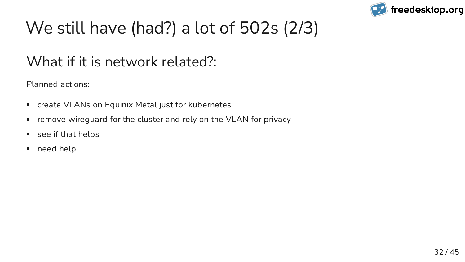# We still have (had?) a lot of 502s (2/3)

#### What if it is network related?:

- create VLANs on Equinix Metal just for kubernetes  $\blacksquare$
- remove wireguard for the cluster and rely on the VLAN for privacy  $\Box$
- see if that helps  $\overline{\phantom{a}}$
- need help  $\Box$



Planned actions: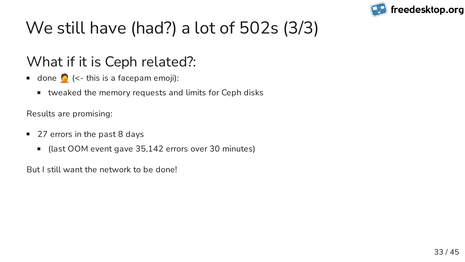# We still have (had?) a lot of 502s (3/3)

#### What if it is Ceph related?:

- done  $\left( \left\langle \cdot \right\rangle$  this is a facepam emoji):
	- tweaked the memory requests and limits for Ceph disks

Results are promising:

- 27 errors in the past 8 days
	- (last OOM event gave 35,142 errors over 30 minutes)  $\Box$

But I still want the network to be done!

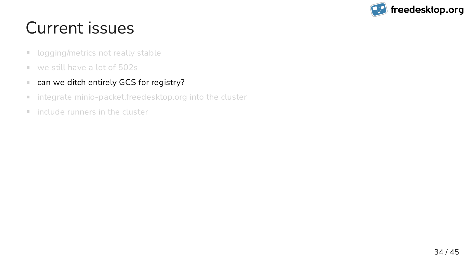## Current issues

- logging/metrics not really stable  $\Box$
- we still have a lot of 502s  $\mathbb{R}^n$
- can we ditch entirely GCS for registry?  $\Box$
- integrate minio-packet.freedesktop.org into the cluster  $\Box$
- include runners in the cluster  $\mathbb{R}^n$

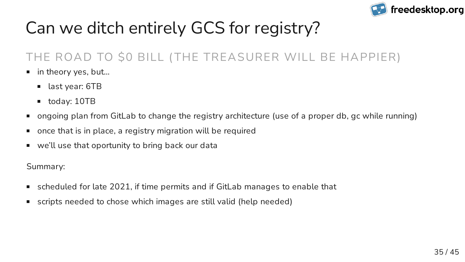## Can we ditch entirely GCS for registry?

- scheduled for late 2021, if time permits and if GitLab manages to enable that
- scripts needed to chose which images are still valid (help needed)  $\mathcal{L}_{\mathcal{A}}$



- in theory yes, but…
	- last year: 6TB
	- today: 10TB
- ongoing plan from GitLab to change the registry architecture (use of a proper db, gc while running)
- once that is in place, a registry migration will be required
- we'll use that oportunity to bring back our data

Summary:

35 / 45

#### THE ROAD TO \$0 BILL ( THE TREASURER WILL BE HAPPIER)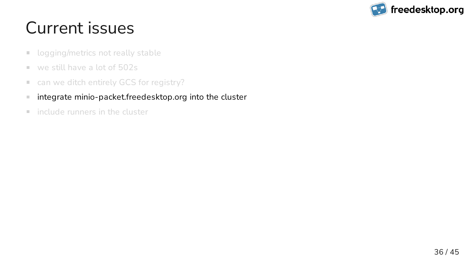## Current issues

- logging/metrics not really stable  $\Box$
- we still have a lot of 502s  $\mathbb{R}^n$
- can we ditch entirely GCS for registry?  $\mathbb{Z}^2$
- integrate minio-packet.freedesktop.org into the cluster  $\mathcal{L}_{\mathcal{A}}$
- include runners in the cluster  $\mathbb{R}^n$

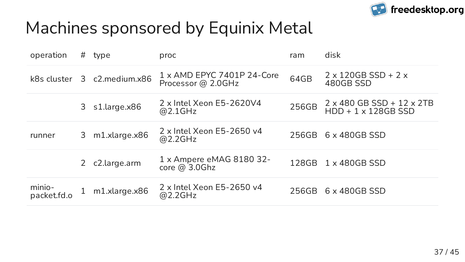### Machines sponsored by Equinix Metal

| operation             | # | type            | proc                                                    | ram   | disk                                                                  |
|-----------------------|---|-----------------|---------------------------------------------------------|-------|-----------------------------------------------------------------------|
| k8s cluster           |   | 3 c2.medium.x86 | $1 \times$ AMD EPYC 7401P 24-Core<br>Processor @ 2.0GHz | 64GB  | $2 \times 120GB$ SSD + 2 $\times$<br>480GB SSD                        |
|                       | 3 | s1.large.x86    | $2 \times$ Intel Xeon E5-2620V4<br>@2.1GHz              | 256GB | $2 \times 480$ GB SSD + $12 \times 2TB$<br>$HDD + 1 \times 128GB$ SSD |
| runner                |   | 3 m1.xlarge.x86 | $2 \times$ Intel Xeon E5-2650 v4<br>@2.2GHz             | 256GB | $6 \times 480GB$ SSD                                                  |
|                       |   | c2.large.arm    | 1 x Ampere eMAG 8180 32-<br>core @ 3.0Ghz               | 128GB | $1 \times 480$ GBSSD                                                  |
| minio-<br>packet.fd.o |   | m1.xlarge.x86   | $2 \times$ Intel Xeon E5-2650 v4<br>@2.2GHz             | 256GB | $6 \times 480GB$ SSD                                                  |

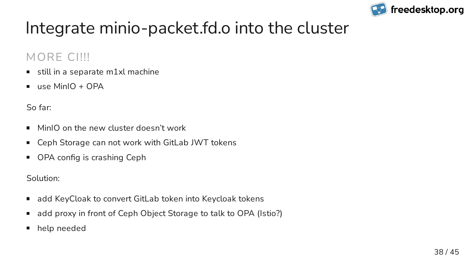### Integrate minio-packet.fd.o into the cluster

- still in a separate m1xl machine  $\Box$
- use MinIO + OPA  $\overline{\phantom{a}}$

#### MORE CI!!!

- MinIO on the new cluster doesn't work  $\blacksquare$
- Ceph Storage can not work with GitLab JWT tokens
- OPA config is crashing Ceph  $\overline{\phantom{a}}$

So far:

Solution:

- add KeyCloak to convert GitLab token into Keycloak tokens
- add proxy in front of Ceph Object Storage to talk to OPA (Istio?)
- help needed

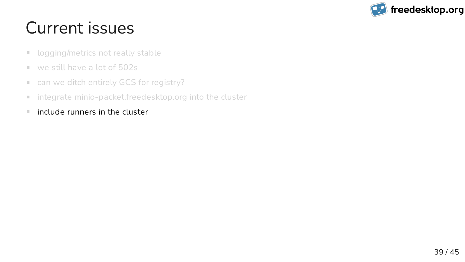## Current issues

- logging/metrics not really stable  $\Box$
- we still have a lot of 502s  $\mathbb{R}^n$
- can we ditch entirely GCS for registry?  $\mathcal{L}_{\mathcal{A}}$
- integrate minio-packet.freedesktop.org into the cluster  $\blacksquare$
- include runners in the cluster  $\mathcal{L}_{\mathcal{A}}$

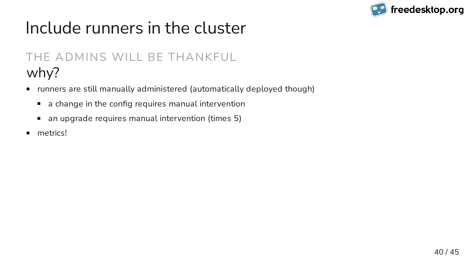### Include runners in the cluster

- runners are still manually administered (automatically deployed though)
	- a change in the config requires manual intervention  $\overline{\mathbb{Z}}$
	- an upgrade requires manual intervention (times 5)  $\Box$
- metrics!  $\blacksquare$



#### why? THE ADMINS WILL BE THANKFUL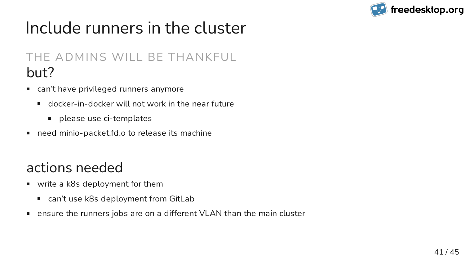### Include runners in the cluster

- write a k8s deployment for them
	- can't use k8s deployment from GitLab
- ensure the runners jobs are on a different VLAN than the main cluster



#### actions needed

#### but? THE ADMINS WILL BE THANKFUL

- can't have privileged runners anymore
	- docker-in-docker will not work in the near future  $\blacksquare$ 
		- **P** please use ci-templates
- need minio-packet.fd.o to release its machine  $\overline{\phantom{a}}$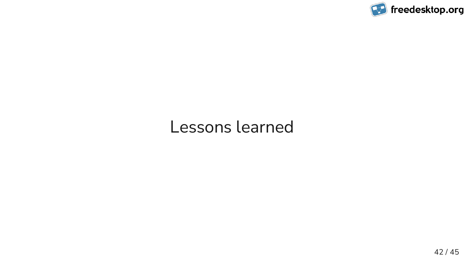### Lessons learned

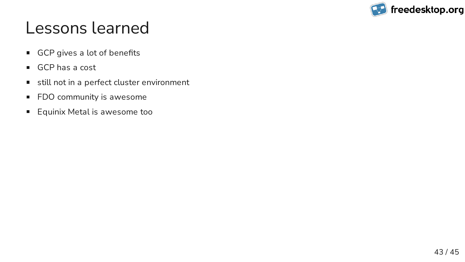### Lessons learned

- GCP gives a lot of benefits
- GCP has a cost
- still not in a perfect cluster environment
- FDO community is awesome
- Equinix Metal is awesome too

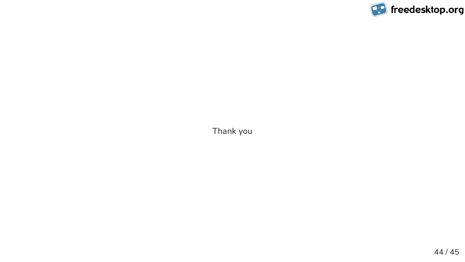Thank you